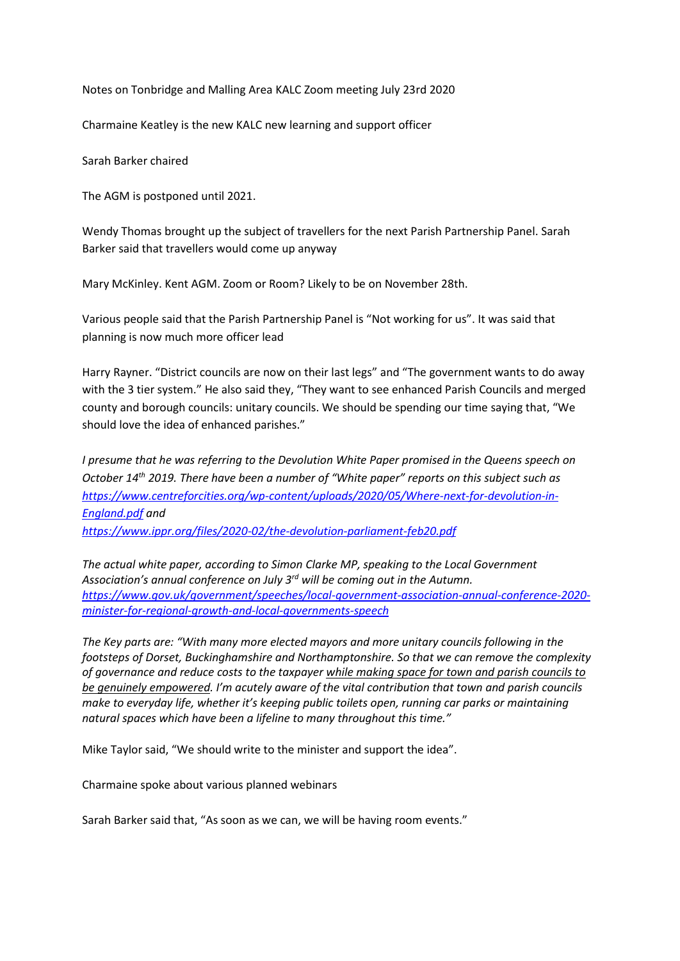Notes on Tonbridge and Malling Area KALC Zoom meeting July 23rd 2020

Charmaine Keatley is the new KALC new learning and support officer

Sarah Barker chaired

The AGM is postponed until 2021.

Wendy Thomas brought up the subject of travellers for the next Parish Partnership Panel. Sarah Barker said that travellers would come up anyway

Mary McKinley. Kent AGM. Zoom or Room? Likely to be on November 28th.

Various people said that the Parish Partnership Panel is "Not working for us". It was said that planning is now much more officer lead

Harry Rayner. "District councils are now on their last legs" and "The government wants to do away with the 3 tier system." He also said they, "They want to see enhanced Parish Councils and merged county and borough councils: unitary councils. We should be spending our time saying that, "We should love the idea of enhanced parishes."

*I presume that he was referring to the Devolution White Paper promised in the Queens speech on October 14th 2019. There have been a number of "White paper" reports on this subject such as [https://www.centreforcities.org/wp-content/uploads/2020/05/Where-next-for-devolution-in-](https://www.centreforcities.org/wp-content/uploads/2020/05/Where-next-for-devolution-in-England.pdf)[England.pdf](https://www.centreforcities.org/wp-content/uploads/2020/05/Where-next-for-devolution-in-England.pdf) and <https://www.ippr.org/files/2020-02/the-devolution-parliament-feb20.pdf>*

*The actual white paper, according to Simon Clarke MP, speaking to the Local Government Association's annual conference on July 3rd will be coming out in the Autumn. [https://www.gov.uk/government/speeches/local-government-association-annual-conference-2020](https://www.gov.uk/government/speeches/local-government-association-annual-conference-2020-minister-for-regional-growth-and-local-governments-speech) [minister-for-regional-growth-and-local-governments-speech](https://www.gov.uk/government/speeches/local-government-association-annual-conference-2020-minister-for-regional-growth-and-local-governments-speech)*

*The Key parts are: "With many more elected mayors and more unitary councils following in the footsteps of Dorset, Buckinghamshire and Northamptonshire. So that we can remove the complexity of governance and reduce costs to the taxpayer while making space for town and parish councils to be genuinely empowered. I'm acutely aware of the vital contribution that town and parish councils make to everyday life, whether it's keeping public toilets open, running car parks or maintaining natural spaces which have been a lifeline to many throughout this time."*

Mike Taylor said, "We should write to the minister and support the idea".

Charmaine spoke about various planned webinars

Sarah Barker said that, "As soon as we can, we will be having room events."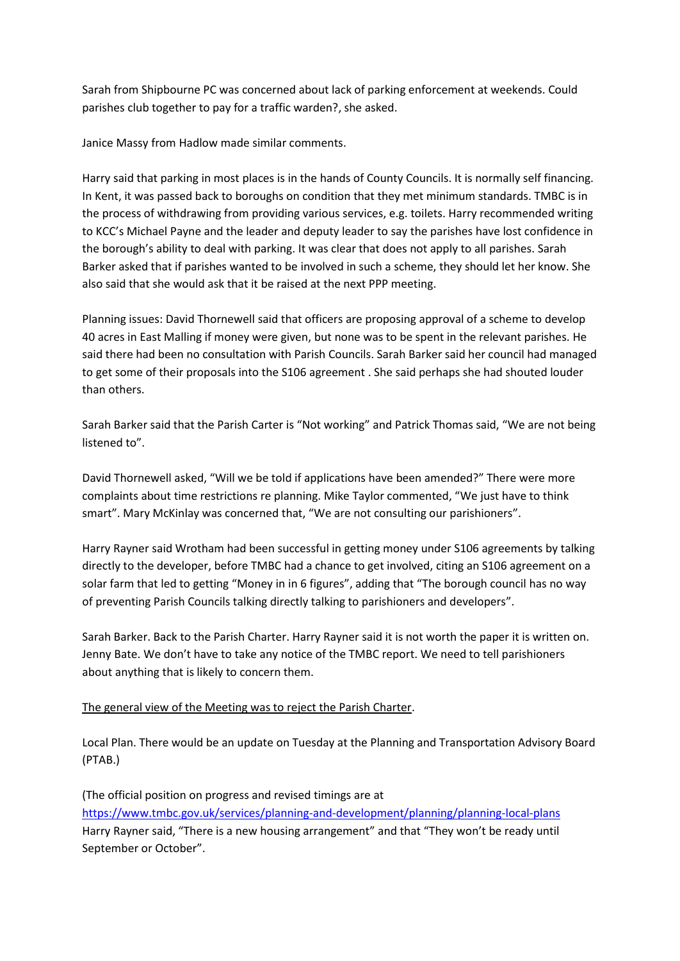Sarah from Shipbourne PC was concerned about lack of parking enforcement at weekends. Could parishes club together to pay for a traffic warden?, she asked.

Janice Massy from Hadlow made similar comments.

Harry said that parking in most places is in the hands of County Councils. It is normally self financing. In Kent, it was passed back to boroughs on condition that they met minimum standards. TMBC is in the process of withdrawing from providing various services, e.g. toilets. Harry recommended writing to KCC's Michael Payne and the leader and deputy leader to say the parishes have lost confidence in the borough's ability to deal with parking. It was clear that does not apply to all parishes. Sarah Barker asked that if parishes wanted to be involved in such a scheme, they should let her know. She also said that she would ask that it be raised at the next PPP meeting.

Planning issues: David Thornewell said that officers are proposing approval of a scheme to develop 40 acres in East Malling if money were given, but none was to be spent in the relevant parishes. He said there had been no consultation with Parish Councils. Sarah Barker said her council had managed to get some of their proposals into the S106 agreement . She said perhaps she had shouted louder than others.

Sarah Barker said that the Parish Carter is "Not working" and Patrick Thomas said, "We are not being listened to".

David Thornewell asked, "Will we be told if applications have been amended?" There were more complaints about time restrictions re planning. Mike Taylor commented, "We just have to think smart". Mary McKinlay was concerned that, "We are not consulting our parishioners".

Harry Rayner said Wrotham had been successful in getting money under S106 agreements by talking directly to the developer, before TMBC had a chance to get involved, citing an S106 agreement on a solar farm that led to getting "Money in in 6 figures", adding that "The borough council has no way of preventing Parish Councils talking directly talking to parishioners and developers".

Sarah Barker. Back to the Parish Charter. Harry Rayner said it is not worth the paper it is written on. Jenny Bate. We don't have to take any notice of the TMBC report. We need to tell parishioners about anything that is likely to concern them.

## The general view of the Meeting was to reject the Parish Charter.

Local Plan. There would be an update on Tuesday at the Planning and Transportation Advisory Board (PTAB.)

(The official position on progress and revised timings are at <https://www.tmbc.gov.uk/services/planning-and-development/planning/planning-local-plans> Harry Rayner said, "There is a new housing arrangement" and that "They won't be ready until September or October".